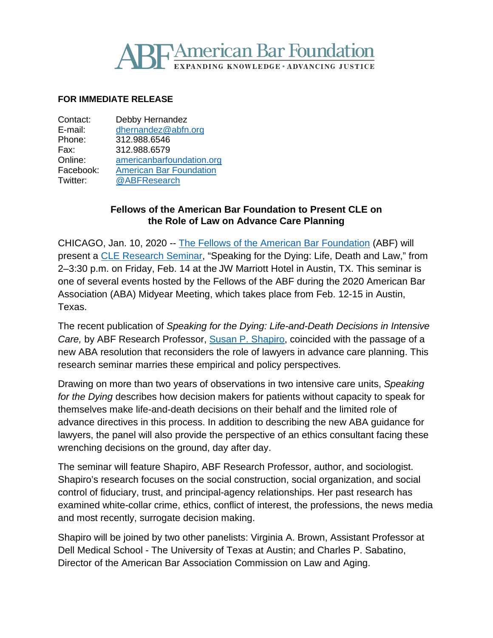# **PAmerican Bar Foundation IDING KNOWLEDGE · ADVANCING JUSTICE**

#### **FOR IMMEDIATE RELEASE**

| Contact:  | Debby Hernandez                |
|-----------|--------------------------------|
| E-mail:   | dhernandez@abfn.org            |
| Phone:    | 312.988.6546                   |
| Fax:      | 312.988.6579                   |
| Online:   | americanbarfoundation.org      |
| Facebook: | <b>American Bar Foundation</b> |
| Twitter:  | @ABFResearch                   |
|           |                                |

#### **Fellows of the American Bar Foundation to Present CLE on the Role of Law on Advance Care Planning**

CHICAGO, Jan. 10, 2020 -- [The Fellows of the American Bar Foundation](http://www.americanbarfoundation.org/fellows/index.html) (ABF) will present a [CLE Research Seminar,](http://www.americanbarfoundation.org/fellows/events/9870) "Speaking for the Dying: Life, Death and Law," from 2–3:30 p.m. on Friday, Feb. 14 at the JW Marriott Hotel in Austin, TX. This seminar is one of several events hosted by the Fellows of the ABF during the 2020 American Bar Association (ABA) Midyear Meeting, which takes place from Feb. 12-15 in Austin, Texas.

The recent publication of *Speaking for the Dying: Life-and-Death Decisions in Intensive Care,* by ABF Research Professor, Susan P. [Shapiro,](http://www.americanbarfoundation.org/faculty/profile/23) coincided with the passage of a new ABA resolution that reconsiders the role of lawyers in advance care planning. This research seminar marries these empirical and policy perspectives.

Drawing on more than two years of observations in two intensive care units, *Speaking for the Dying* describes how decision makers for patients without capacity to speak for themselves make life-and-death decisions on their behalf and the limited role of advance directives in this process. In addition to describing the new ABA guidance for lawyers, the panel will also provide the perspective of an ethics consultant facing these wrenching decisions on the ground, day after day.

The seminar will feature Shapiro, ABF Research Professor, author, and sociologist. Shapiro's research focuses on the social construction, social organization, and social control of fiduciary, trust, and principal-agency relationships. Her past research has examined white-collar crime, ethics, conflict of interest, the professions, the news media and most recently, surrogate decision making.

Shapiro will be joined by two other panelists: Virginia A. Brown, Assistant Professor at Dell Medical School - The University of Texas at Austin; and Charles P. Sabatino, Director of the American Bar Association Commission on Law and Aging.